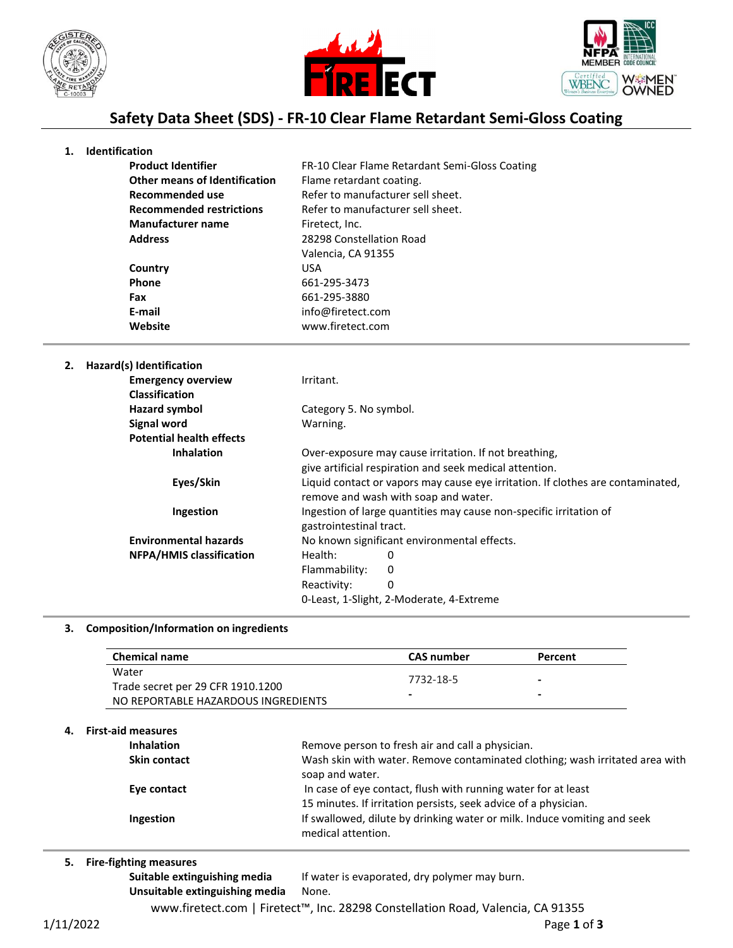





# **Safety Data Sheet (SDS) - FR-10 Clear Flame Retardant Semi-Gloss Coating**

#### **1. Identification**

| <b>Product Identifier</b>            | FR-10 Clear Flame Retardant Semi-Gloss Coating |
|--------------------------------------|------------------------------------------------|
| <b>Other means of Identification</b> | Flame retardant coating.                       |
| Recommended use                      | Refer to manufacturer sell sheet.              |
| <b>Recommended restrictions</b>      | Refer to manufacturer sell sheet.              |
| <b>Manufacturer name</b>             | Firetect, Inc.                                 |
| <b>Address</b>                       | 28298 Constellation Road                       |
|                                      | Valencia, CA 91355                             |
| Country                              | <b>USA</b>                                     |
| <b>Phone</b>                         | 661-295-3473                                   |
| Fax                                  | 661-295-3880                                   |
| E-mail                               | info@firetect.com                              |
| Website                              | www.firetect.com                               |

### **2. Hazard(s) Identification**

| <b>Emergency overview</b>       | Irritant.                                                          |                                                                                 |  |
|---------------------------------|--------------------------------------------------------------------|---------------------------------------------------------------------------------|--|
| <b>Classification</b>           |                                                                    |                                                                                 |  |
| Hazard symbol                   | Category 5. No symbol.                                             |                                                                                 |  |
| <b>Signal word</b>              | Warning.                                                           |                                                                                 |  |
| <b>Potential health effects</b> |                                                                    |                                                                                 |  |
| <b>Inhalation</b>               |                                                                    | Over-exposure may cause irritation. If not breathing,                           |  |
|                                 |                                                                    | give artificial respiration and seek medical attention.                         |  |
| Eyes/Skin                       |                                                                    | Liquid contact or vapors may cause eye irritation. If clothes are contaminated, |  |
|                                 |                                                                    | remove and wash with soap and water.                                            |  |
| Ingestion                       | Ingestion of large quantities may cause non-specific irritation of |                                                                                 |  |
|                                 | gastrointestinal tract.                                            |                                                                                 |  |
| <b>Environmental hazards</b>    | No known significant environmental effects.                        |                                                                                 |  |
| <b>NFPA/HMIS classification</b> | Health:                                                            | 0                                                                               |  |
|                                 | Flammability:                                                      | 0                                                                               |  |
|                                 | Reactivity:                                                        | 0                                                                               |  |
|                                 |                                                                    | 0-Least, 1-Slight, 2-Moderate, 4-Extreme                                        |  |

#### **3. Composition/Information on ingredients**

| <b>Chemical name</b>                       | CAS number     | Percent                                              |
|--------------------------------------------|----------------|------------------------------------------------------|
| Water<br>Trade secret per 29 CFR 1910.1200 | 7732-18-5<br>- | $\overline{\phantom{0}}$<br>$\overline{\phantom{0}}$ |
| NO REPORTABLE HAZARDOUS INGREDIENTS        |                |                                                      |

#### **4. First-aid measures**

| <b>Inhalation</b>   | Remove person to fresh air and call a physician.                                                                                 |
|---------------------|----------------------------------------------------------------------------------------------------------------------------------|
| <b>Skin contact</b> | Wash skin with water. Remove contaminated clothing; wash irritated area with<br>soap and water.                                  |
| Eye contact         | In case of eye contact, flush with running water for at least<br>15 minutes. If irritation persists, seek advice of a physician. |
| Ingestion           | If swallowed, dilute by drinking water or milk. Induce vomiting and seek<br>medical attention.                                   |
|                     |                                                                                                                                  |

#### **5. Fire-fighting measures**

Suitable extinguishing media If water is evaporated, dry polymer may burn.

**Unsuitable extinguishing media** None.

www.firetect.com | Firetect™, Inc. 28298 Constellation Road, Valencia, CA 91355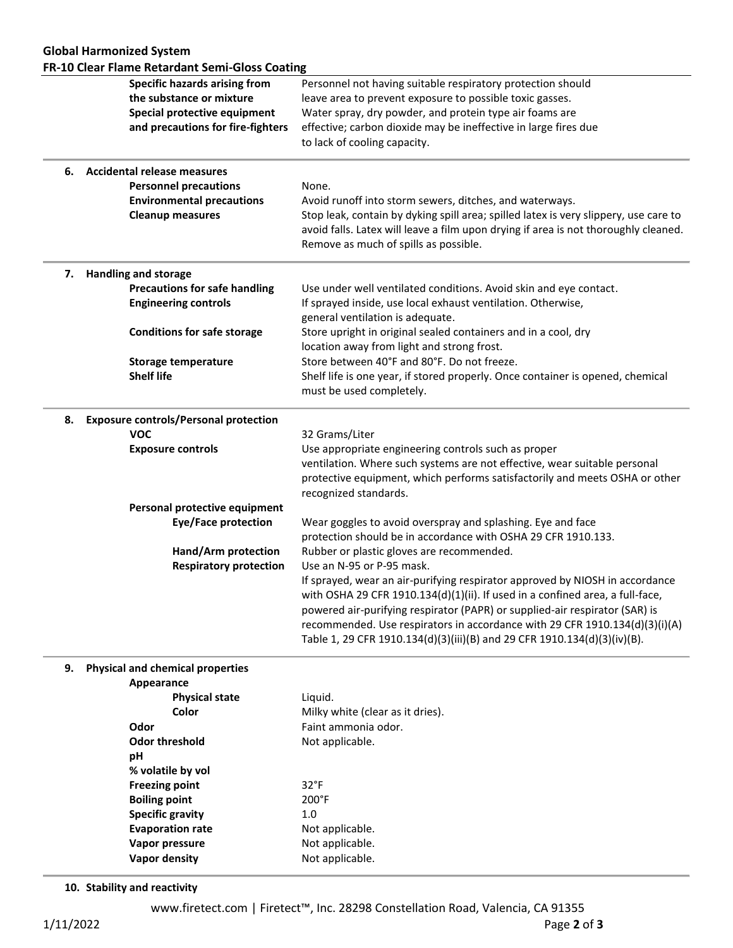|    | FR-10 Clear Flame Retardant Semi-Gloss Coating<br><b>Specific hazards arising from</b> | Personnel not having suitable respiratory protection should                                                                                                                       |
|----|----------------------------------------------------------------------------------------|-----------------------------------------------------------------------------------------------------------------------------------------------------------------------------------|
|    | the substance or mixture                                                               | leave area to prevent exposure to possible toxic gasses.                                                                                                                          |
|    | Special protective equipment                                                           | Water spray, dry powder, and protein type air foams are                                                                                                                           |
|    | and precautions for fire-fighters                                                      | effective; carbon dioxide may be ineffective in large fires due                                                                                                                   |
|    |                                                                                        | to lack of cooling capacity.                                                                                                                                                      |
|    | 6. Accidental release measures                                                         |                                                                                                                                                                                   |
|    | <b>Personnel precautions</b>                                                           | None.                                                                                                                                                                             |
|    | <b>Environmental precautions</b>                                                       | Avoid runoff into storm sewers, ditches, and waterways.                                                                                                                           |
|    | <b>Cleanup measures</b>                                                                | Stop leak, contain by dyking spill area; spilled latex is very slippery, use care to                                                                                              |
|    |                                                                                        | avoid falls. Latex will leave a film upon drying if area is not thoroughly cleaned.<br>Remove as much of spills as possible.                                                      |
|    | 7. Handling and storage                                                                |                                                                                                                                                                                   |
|    | <b>Precautions for safe handling</b>                                                   | Use under well ventilated conditions. Avoid skin and eye contact.                                                                                                                 |
|    | <b>Engineering controls</b>                                                            | If sprayed inside, use local exhaust ventilation. Otherwise,                                                                                                                      |
|    |                                                                                        | general ventilation is adequate.                                                                                                                                                  |
|    | <b>Conditions for safe storage</b>                                                     | Store upright in original sealed containers and in a cool, dry<br>location away from light and strong frost.                                                                      |
|    | <b>Storage temperature</b>                                                             | Store between 40°F and 80°F. Do not freeze.                                                                                                                                       |
|    | <b>Shelf life</b>                                                                      | Shelf life is one year, if stored properly. Once container is opened, chemical<br>must be used completely.                                                                        |
| 8. | <b>Exposure controls/Personal protection</b>                                           |                                                                                                                                                                                   |
|    | <b>VOC</b>                                                                             | 32 Grams/Liter                                                                                                                                                                    |
|    | <b>Exposure controls</b>                                                               | Use appropriate engineering controls such as proper                                                                                                                               |
|    |                                                                                        | ventilation. Where such systems are not effective, wear suitable personal<br>protective equipment, which performs satisfactorily and meets OSHA or other<br>recognized standards. |
|    | Personal protective equipment                                                          |                                                                                                                                                                                   |
|    | <b>Eye/Face protection</b>                                                             | Wear goggles to avoid overspray and splashing. Eye and face                                                                                                                       |
|    |                                                                                        | protection should be in accordance with OSHA 29 CFR 1910.133.                                                                                                                     |
|    | Hand/Arm protection                                                                    | Rubber or plastic gloves are recommended.                                                                                                                                         |
|    | <b>Respiratory protection</b>                                                          | Use an N-95 or P-95 mask.                                                                                                                                                         |
|    |                                                                                        | If sprayed, wear an air-purifying respirator approved by NIOSH in accordance                                                                                                      |
|    |                                                                                        | with OSHA 29 CFR 1910.134(d)(1)(ii). If used in a confined area, a full-face,                                                                                                     |
|    |                                                                                        | powered air-purifying respirator (PAPR) or supplied-air respirator (SAR) is                                                                                                       |
|    |                                                                                        | recommended. Use respirators in accordance with 29 CFR 1910.134(d)(3)(i)(A)<br>Table 1, 29 CFR 1910.134(d)(3)(iii)(B) and 29 CFR 1910.134(d)(3)(iv)(B).                           |
| 9. | <b>Physical and chemical properties</b>                                                |                                                                                                                                                                                   |
|    | Appearance                                                                             |                                                                                                                                                                                   |
|    | <b>Physical state</b>                                                                  | Liquid.                                                                                                                                                                           |
|    | <b>Color</b>                                                                           | Milky white (clear as it dries).                                                                                                                                                  |
|    | Odor                                                                                   | Faint ammonia odor.                                                                                                                                                               |
|    | <b>Odor threshold</b>                                                                  | Not applicable.                                                                                                                                                                   |
|    | pH                                                                                     |                                                                                                                                                                                   |
|    | % volatile by vol                                                                      |                                                                                                                                                                                   |
|    | <b>Freezing point</b>                                                                  | $32^{\circ}F$                                                                                                                                                                     |
|    | <b>Boiling point</b>                                                                   | 200°F                                                                                                                                                                             |
|    | <b>Specific gravity</b>                                                                | 1.0                                                                                                                                                                               |
|    | <b>Evaporation rate</b><br>Vapor pressure                                              | Not applicable.<br>Not applicable.                                                                                                                                                |
|    | <b>Vapor density</b>                                                                   | Not applicable.                                                                                                                                                                   |
|    |                                                                                        |                                                                                                                                                                                   |

**10. Stability and reactivity**